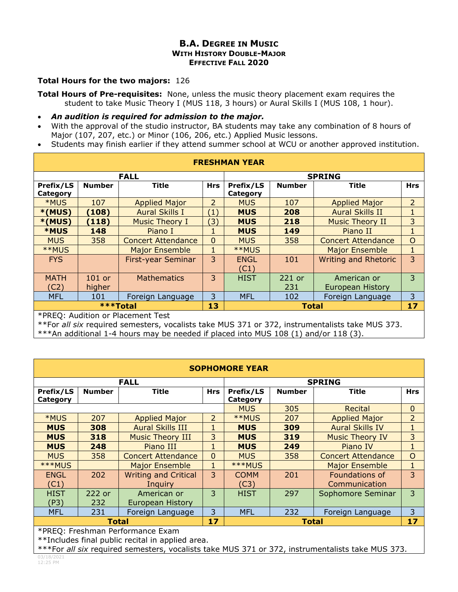## **B.A. DEGREE IN MUSIC WITH HISTORY DOUBLE-MAJOR EFFECTIVE FALL 2020**

## **Total Hours for the two majors:** 126

**Total Hours of Pre-requisites:** None, unless the music theory placement exam requires the student to take Music Theory I (MUS 118, 3 hours) or Aural Skills I (MUS 108, 1 hour).

- *An audition is required for admission to the major.*
- With the approval of the studio instructor, BA students may take any combination of 8 hours of Major (107, 207, etc.) or Minor (106, 206, etc.) Applied Music lessons.
- Students may finish earlier if they attend summer school at WCU or another approved institution.

| <b>FRESHMAN YEAR</b>              |               |                           |                   |                       |               |                             |                |  |  |
|-----------------------------------|---------------|---------------------------|-------------------|-----------------------|---------------|-----------------------------|----------------|--|--|
| <b>FALL</b>                       |               |                           |                   | <b>SPRING</b>         |               |                             |                |  |  |
| Prefix/LS<br>Category             | <b>Number</b> | <b>Title</b>              | <b>Hrs</b>        | Prefix/LS<br>Category | <b>Number</b> | <b>Title</b>                | <b>Hrs</b>     |  |  |
| <b>*MUS</b>                       | 107           | <b>Applied Major</b>      | $\overline{2}$    | <b>MUS</b>            | 107           | <b>Applied Major</b>        | $\overline{2}$ |  |  |
| $*(MUS)$                          | (108)         | <b>Aural Skills I</b>     | $\left( 1\right)$ | <b>MUS</b>            | 208           | <b>Aural Skills II</b>      | 1              |  |  |
| $*(MUS)$                          | (118)         | <b>Music Theory I</b>     | $\mathsf{S}$      | <b>MUS</b>            | 218           | <b>Music Theory II</b>      | 3              |  |  |
| <b>*MUS</b>                       | 148           | Piano I                   | 1                 | <b>MUS</b>            | 149           | Piano II                    |                |  |  |
| <b>MUS</b>                        | 358           | <b>Concert Attendance</b> | $\Omega$          | <b>MUS</b>            | 358           | <b>Concert Attendance</b>   | $\circ$        |  |  |
| **MUS                             |               | <b>Major Ensemble</b>     | 1                 | **MUS                 |               | <b>Major Ensemble</b>       | 1              |  |  |
| <b>FYS</b>                        |               | First-year Seminar        | 3                 | <b>ENGL</b><br>(C1)   | 101           | <b>Writing and Rhetoric</b> | 3              |  |  |
| <b>MATH</b>                       | $101$ or      | <b>Mathematics</b>        | 3                 | <b>HIST</b>           | 221 or        | American or                 | 3              |  |  |
| (C2)                              | higher        |                           |                   |                       | 231           | <b>European History</b>     |                |  |  |
| <b>MFL</b>                        | 101           | Foreign Language          | 3                 | <b>MFL</b>            | 102           | Foreign Language            | 3              |  |  |
| <b>***Total</b>                   |               |                           | 13                |                       | <b>Total</b>  |                             | 17             |  |  |
| *PREQ: Audition or Placement Test |               |                           |                   |                       |               |                             |                |  |  |

\*\*For *all six* required semesters, vocalists take MUS 371 or 372, instrumentalists take MUS 373.

\*\*\*An additional 1-4 hours may be needed if placed into MUS 108 (1) and/or 118 (3).

| <b>SOPHOMORE YEAR</b>            |               |                             |                |               |               |                           |                |  |  |
|----------------------------------|---------------|-----------------------------|----------------|---------------|---------------|---------------------------|----------------|--|--|
| <b>FALL</b>                      |               |                             |                | <b>SPRING</b> |               |                           |                |  |  |
| Prefix/LS                        | <b>Number</b> | <b>Title</b>                | <b>Hrs</b>     | Prefix/LS     | <b>Number</b> | Title                     | <b>Hrs</b>     |  |  |
| Category                         |               |                             |                | Category      |               |                           |                |  |  |
|                                  |               |                             |                | <b>MUS</b>    | 305           | Recital                   | $\mathbf 0$    |  |  |
| *MUS                             | 207           | <b>Applied Major</b>        | 2              | **MUS         | 207           | <b>Applied Major</b>      | $\overline{2}$ |  |  |
| <b>MUS</b>                       | 308           | <b>Aural Skills III</b>     |                | <b>MUS</b>    | 309           | <b>Aural Skills IV</b>    | $\mathbf{1}$   |  |  |
| <b>MUS</b>                       | 318           | <b>Music Theory III</b>     | 3              | <b>MUS</b>    | 319           | <b>Music Theory IV</b>    | 3              |  |  |
| <b>MUS</b>                       | 248           | Piano III                   |                | <b>MUS</b>    | 249           | Piano IV                  | $\mathbf{1}$   |  |  |
| <b>MUS</b>                       | 358           | <b>Concert Attendance</b>   | $\overline{0}$ | <b>MUS</b>    | 358           | <b>Concert Attendance</b> | $\circ$        |  |  |
| ***MUS                           |               | <b>Major Ensemble</b>       | 1              | ***MUS        |               | <b>Major Ensemble</b>     | $\mathbf{1}$   |  |  |
| <b>ENGL</b>                      | 202           | <b>Writing and Critical</b> | 3              | <b>COMM</b>   | 201           | Foundations of            | 3              |  |  |
| (C1)                             |               | Inquiry                     |                | (C3)          |               | Communication             |                |  |  |
| <b>HIST</b>                      | 222 or        | American or                 | 3              | <b>HIST</b>   | 297           | Sophomore Seminar         | 3              |  |  |
| (P3)                             | 232           | <b>European History</b>     |                |               |               |                           |                |  |  |
| <b>MFL</b>                       | 231           | Foreign Language            | 3              | <b>MFL</b>    | 232           | Foreign Language          | 3              |  |  |
| <b>Total</b>                     |               |                             | 17             |               | <b>Total</b>  |                           | 17             |  |  |
| *PREO: Frechman Performance Evam |               |                             |                |               |               |                           |                |  |  |

PREQ: Freshman Performance Exam

\*\*Includes final public recital in applied area.

\*\*\*For *all six* required semesters, vocalists take MUS 371 or 372, instrumentalists take MUS 373.